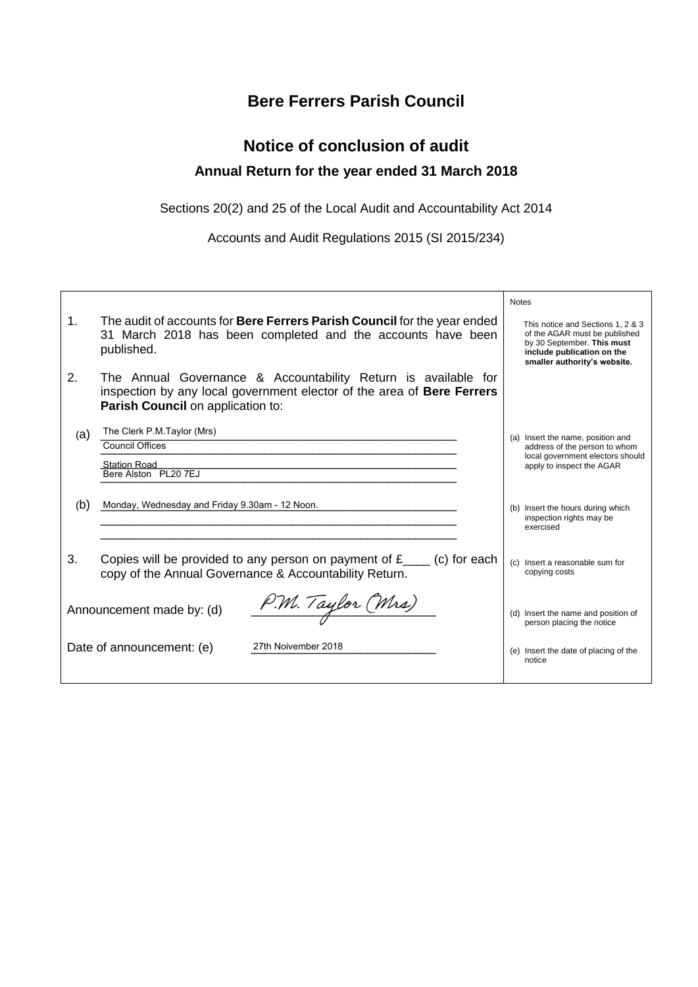### **Bere Ferrers Parish Council**

### **Notice of conclusion of audit Annual Return for the year ended 31 March 2018**

Sections 20(2) and 25 of the Local Audit and Accountability Act 2014

Accounts and Audit Regulations 2015 (SI 2015/234)

|     |                                                                                                                                                                               | <b>Notes</b>                                                                                                                                                   |
|-----|-------------------------------------------------------------------------------------------------------------------------------------------------------------------------------|----------------------------------------------------------------------------------------------------------------------------------------------------------------|
| 1.  | The audit of accounts for Bere Ferrers Parish Council for the year ended<br>31 March 2018 has been completed and the accounts have been<br>published.                         | This notice and Sections 1, 2 & 3<br>of the AGAR must be published<br>by 30 September. This must<br>include publication on the<br>smaller authority's website. |
| 2.  | The Annual Governance & Accountability Return is available for<br>inspection by any local government elector of the area of Bere Ferrers<br>Parish Council on application to: |                                                                                                                                                                |
| (a) | The Clerk P.M.Taylor (Mrs)                                                                                                                                                    | (a) Insert the name, position and                                                                                                                              |
|     | Council Offices                                                                                                                                                               | address of the person to whom<br>local government electors should                                                                                              |
|     | <b>Station Road</b><br>Bere Alston PL20 7EJ                                                                                                                                   | apply to inspect the AGAR                                                                                                                                      |
|     |                                                                                                                                                                               |                                                                                                                                                                |
| (b) | Monday, Wednesday and Friday 9.30am - 12 Noon.                                                                                                                                | (b) Insert the hours during which                                                                                                                              |
|     |                                                                                                                                                                               | inspection rights may be<br>exercised                                                                                                                          |
| 3.  | Copies will be provided to any person on payment of $f_{\text{max}}(c)$ for each                                                                                              |                                                                                                                                                                |
|     | copy of the Annual Governance & Accountability Return.                                                                                                                        | (c) Insert a reasonable sum for<br>copying costs                                                                                                               |
|     |                                                                                                                                                                               |                                                                                                                                                                |
|     | P.M. Taylor (Mrs)<br>Announcement made by: (d)                                                                                                                                | (d) Insert the name and position of<br>person placing the notice                                                                                               |
|     | 27th Noivember 2018<br>Date of announcement: (e)                                                                                                                              | (e) Insert the date of placing of the<br>notice                                                                                                                |
|     |                                                                                                                                                                               |                                                                                                                                                                |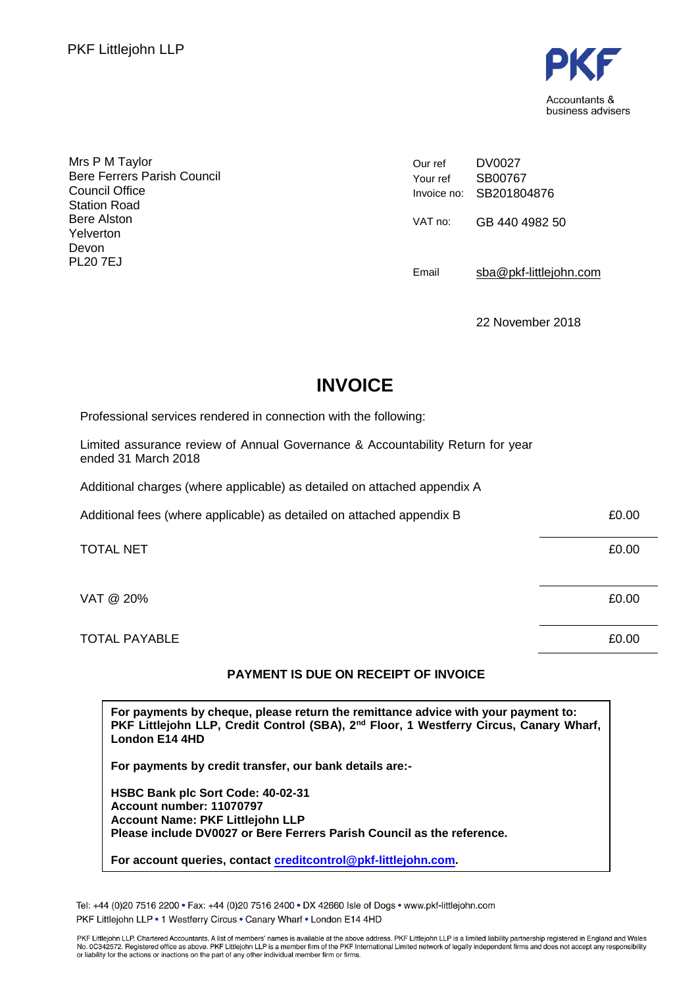

Mrs P M Taylor Bere Ferrers Parish Council Council Office Station Road Bere Alston Yelverton Devon PL20 7EJ

Our ref Your ref Invoice no: DV0027 SB00767 SB201804876 VAT no: GB 440 4982 50 Email [sba@pkf-littlejohn.com](mailto:sba@pkf-littlejohn.com)

22 November 2018

# **INVOICE**

Professional services rendered in connection with the following:

Limited assurance review of Annual Governance & Accountability Return for year ended 31 March 2018

Additional charges (where applicable) as detailed on attached appendix A

| Additional fees (where applicable) as detailed on attached appendix B | £0.00 |
|-----------------------------------------------------------------------|-------|
| <b>TOTAL NET</b>                                                      | £0.00 |
| VAT @ 20%                                                             | £0.00 |
| <b>TOTAL PAYABLE</b>                                                  | £0.00 |

#### **PAYMENT IS DUE ON RECEIPT OF INVOICE**

**For payments by cheque, please return the remittance advice with your payment to: PKF Littlejohn LLP, Credit Control (SBA), 2nd Floor, 1 Westferry Circus, Canary Wharf, London E14 4HD**

**For payments by credit transfer, our bank details are:-**

**HSBC Bank plc Sort Code: 40-02-31 Account number: 11070797 Account Name: PKF Littlejohn LLP Please include DV0027 or Bere Ferrers Parish Council as the reference.**

**For account queries, contact [creditcontrol@pkf-littlejohn.com.](mailto:creditcontrol@pkf-littlejohn.com)**

Tel: +44 (0)20 7516 2200 · Fax: +44 (0)20 7516 2400 · DX 42660 Isle of Dogs · www.pkf-littlejohn.com PKF Littleiohn LLP . 1 Westferry Circus . Canary Wharf . London E14 4HD